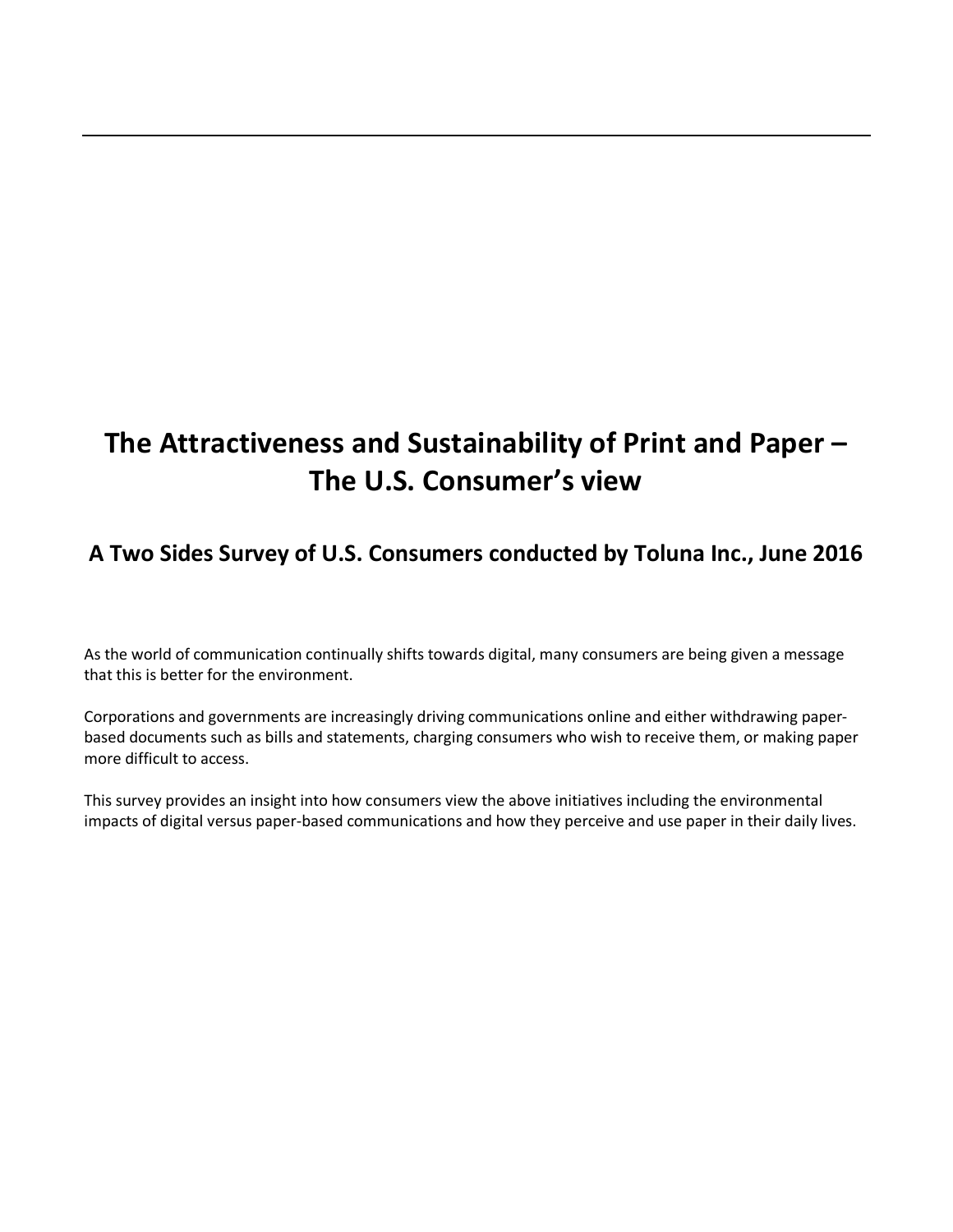# **The Attractiveness and Sustainability of Print and Paper – The U.S. Consumer's view**

# **A Two Sides Survey of U.S. Consumers conducted by Toluna Inc., June 2016**

As the world of communication continually shifts towards digital, many consumers are being given a message that this is better for the environment.

Corporations and governments are increasingly driving communications online and either withdrawing paperbased documents such as bills and statements, charging consumers who wish to receive them, or making paper more difficult to access.

This survey provides an insight into how consumers view the above initiatives including the environmental impacts of digital versus paper-based communications and how they perceive and use paper in their daily lives.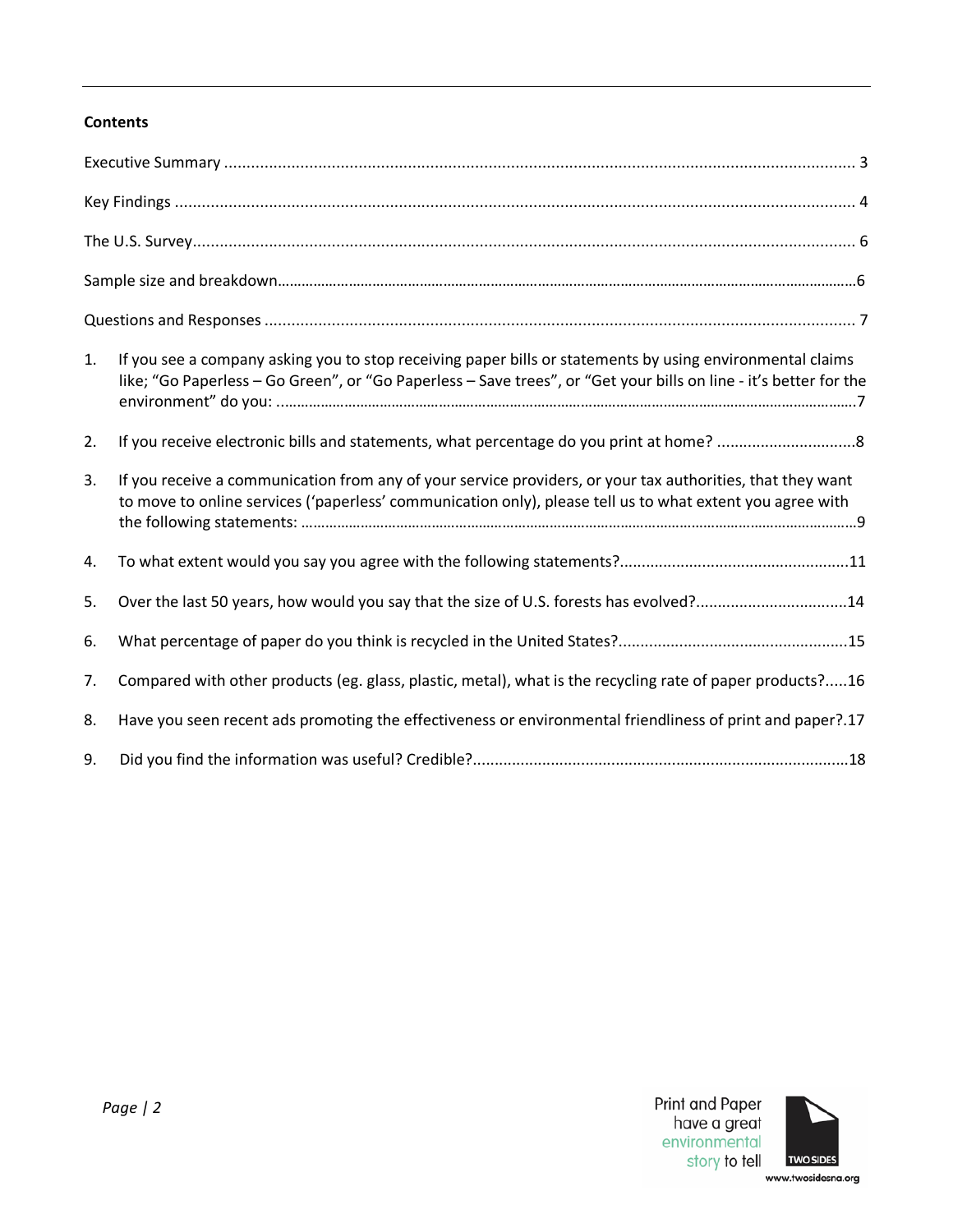# **Contents**

| 1. | If you see a company asking you to stop receiving paper bills or statements by using environmental claims<br>like; "Go Paperless - Go Green", or "Go Paperless - Save trees", or "Get your bills on line - it's better for the |
|----|--------------------------------------------------------------------------------------------------------------------------------------------------------------------------------------------------------------------------------|
| 2. |                                                                                                                                                                                                                                |
| 3. | If you receive a communication from any of your service providers, or your tax authorities, that they want<br>to move to online services ('paperless' communication only), please tell us to what extent you agree with        |
| 4. |                                                                                                                                                                                                                                |
| 5. | Over the last 50 years, how would you say that the size of U.S. forests has evolved?14                                                                                                                                         |
| 6. |                                                                                                                                                                                                                                |
| 7. | Compared with other products (eg. glass, plastic, metal), what is the recycling rate of paper products?16                                                                                                                      |
| 8. | Have you seen recent ads promoting the effectiveness or environmental friendliness of print and paper?.17                                                                                                                      |
| 9. |                                                                                                                                                                                                                                |

<span id="page-1-0"></span>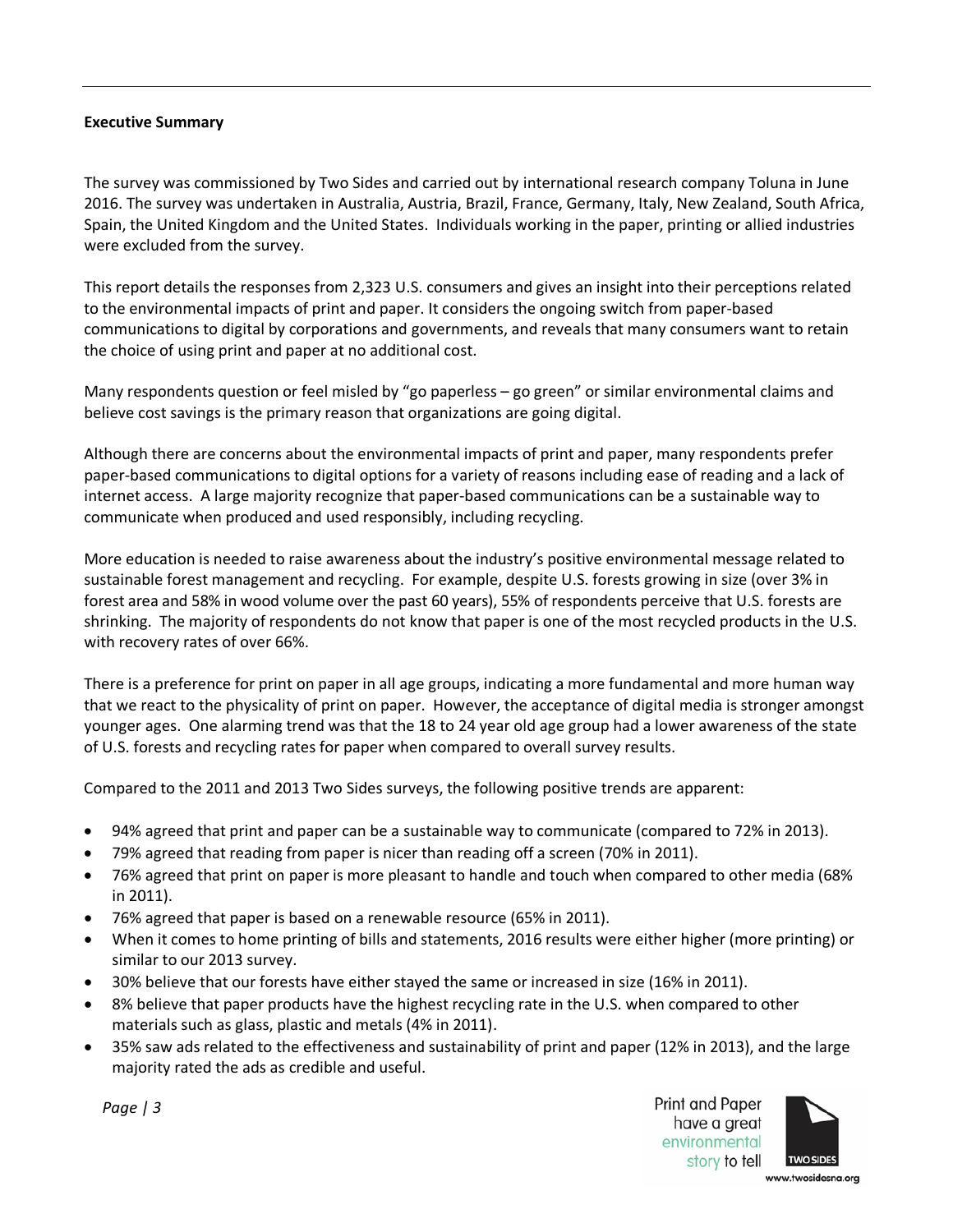#### **Executive Summary**

The survey was commissioned by Two Sides and carried out by international research company Toluna in June 2016. The survey was undertaken in Australia, Austria, Brazil, France, Germany, Italy, New Zealand, South Africa, Spain, the United Kingdom and the United States. Individuals working in the paper, printing or allied industries were excluded from the survey.

This report details the responses from 2,323 U.S. consumers and gives an insight into their perceptions related to the environmental impacts of print and paper. It considers the ongoing switch from paper-based communications to digital by corporations and governments, and reveals that many consumers want to retain the choice of using print and paper at no additional cost.

Many respondents question or feel misled by "go paperless – go green" or similar environmental claims and believe cost savings is the primary reason that organizations are going digital.

Although there are concerns about the environmental impacts of print and paper, many respondents prefer paper-based communications to digital options for a variety of reasons including ease of reading and a lack of internet access. A large majority recognize that paper-based communications can be a sustainable way to communicate when produced and used responsibly, including recycling.

More education is needed to raise awareness about the industry's positive environmental message related to sustainable forest management and recycling. For example, despite U.S. forests growing in size (over 3% in forest area and 58% in wood volume over the past 60 years), 55% of respondents perceive that U.S. forests are shrinking. The majority of respondents do not know that paper is one of the most recycled products in the U.S. with recovery rates of over 66%.

There is a preference for print on paper in all age groups, indicating a more fundamental and more human way that we react to the physicality of print on paper. However, the acceptance of digital media is stronger amongst younger ages. One alarming trend was that the 18 to 24 year old age group had a lower awareness of the state of U.S. forests and recycling rates for paper when compared to overall survey results.

Compared to the 2011 and 2013 Two Sides surveys, the following positive trends are apparent:

- 94% agreed that print and paper can be a sustainable way to communicate (compared to 72% in 2013).
- 79% agreed that reading from paper is nicer than reading off a screen (70% in 2011).
- 76% agreed that print on paper is more pleasant to handle and touch when compared to other media (68% in 2011).
- 76% agreed that paper is based on a renewable resource (65% in 2011).
- When it comes to home printing of bills and statements, 2016 results were either higher (more printing) or similar to our 2013 survey.
- 30% believe that our forests have either stayed the same or increased in size (16% in 2011).
- 8% believe that paper products have the highest recycling rate in the U.S. when compared to other materials such as glass, plastic and metals (4% in 2011).
- 35% saw ads related to the effectiveness and sustainability of print and paper (12% in 2013), and the large majority rated the ads as credible and useful.

Print and Paper have a great environmental story to tell



*Page | 3*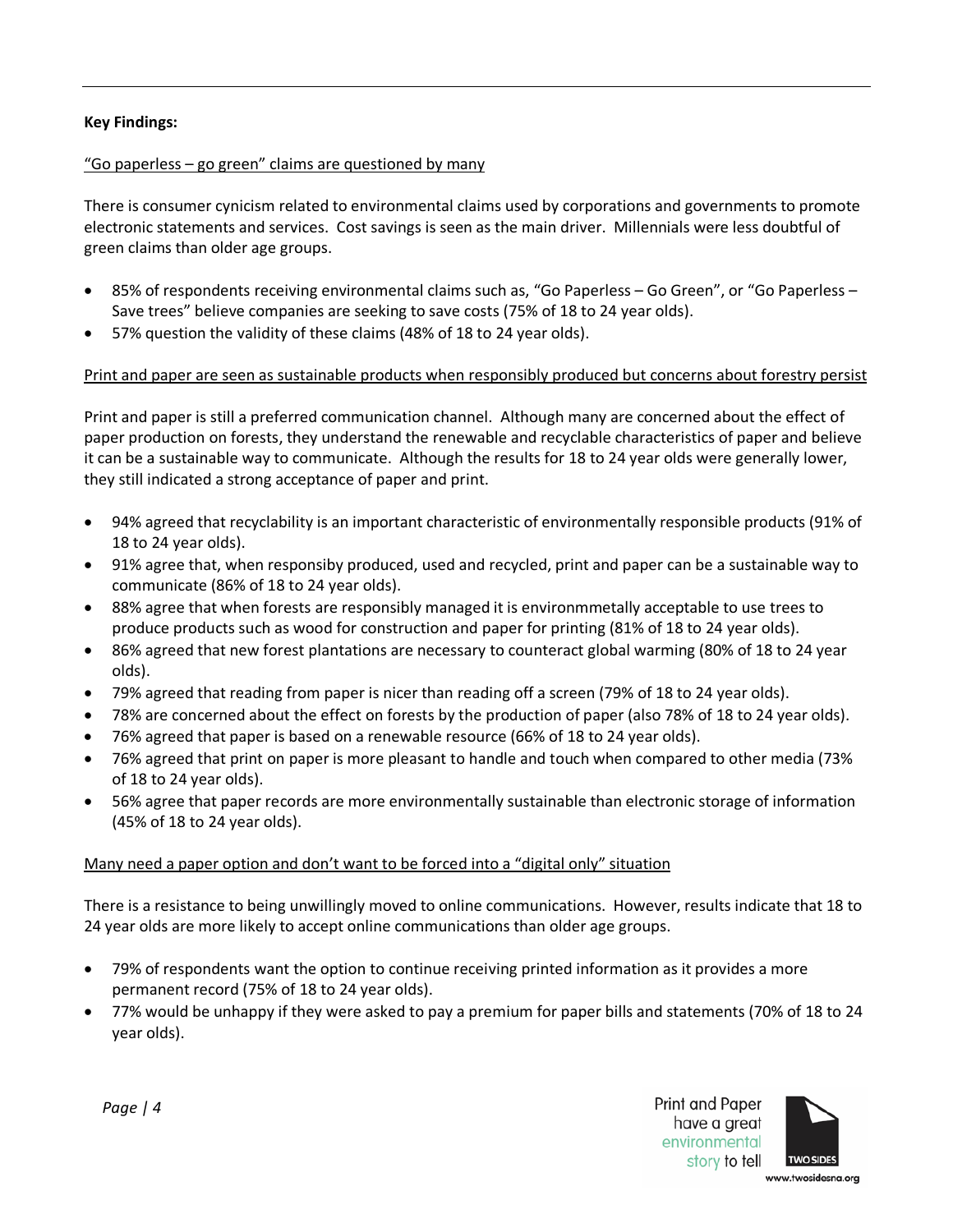## <span id="page-3-0"></span>**Key Findings:**

#### "Go paperless – go green" claims are questioned by many

There is consumer cynicism related to environmental claims used by corporations and governments to promote electronic statements and services. Cost savings is seen as the main driver. Millennials were less doubtful of green claims than older age groups.

- 85% of respondents receiving environmental claims such as, "Go Paperless Go Green", or "Go Paperless Save trees" believe companies are seeking to save costs (75% of 18 to 24 year olds).
- 57% question the validity of these claims (48% of 18 to 24 year olds).

#### Print and paper are seen as sustainable products when responsibly produced but concerns about forestry persist

Print and paper is still a preferred communication channel. Although many are concerned about the effect of paper production on forests, they understand the renewable and recyclable characteristics of paper and believe it can be a sustainable way to communicate. Although the results for 18 to 24 year olds were generally lower, they still indicated a strong acceptance of paper and print.

- 94% agreed that recyclability is an important characteristic of environmentally responsible products (91% of 18 to 24 year olds).
- 91% agree that, when responsiby produced, used and recycled, print and paper can be a sustainable way to communicate (86% of 18 to 24 year olds).
- 88% agree that when forests are responsibly managed it is environmmetally acceptable to use trees to produce products such as wood for construction and paper for printing (81% of 18 to 24 year olds).
- 86% agreed that new forest plantations are necessary to counteract global warming (80% of 18 to 24 year olds).
- 79% agreed that reading from paper is nicer than reading off a screen (79% of 18 to 24 year olds).
- 78% are concerned about the effect on forests by the production of paper (also 78% of 18 to 24 year olds).
- 76% agreed that paper is based on a renewable resource (66% of 18 to 24 year olds).
- 76% agreed that print on paper is more pleasant to handle and touch when compared to other media (73% of 18 to 24 year olds).
- 56% agree that paper records are more environmentally sustainable than electronic storage of information (45% of 18 to 24 year olds).

#### Many need a paper option and don't want to be forced into a "digital only" situation

There is a resistance to being unwillingly moved to online communications. However, results indicate that 18 to 24 year olds are more likely to accept online communications than older age groups.

- 79% of respondents want the option to continue receiving printed information as it provides a more permanent record (75% of 18 to 24 year olds).
- 77% would be unhappy if they were asked to pay a premium for paper bills and statements (70% of 18 to 24 year olds).



*Page | 4*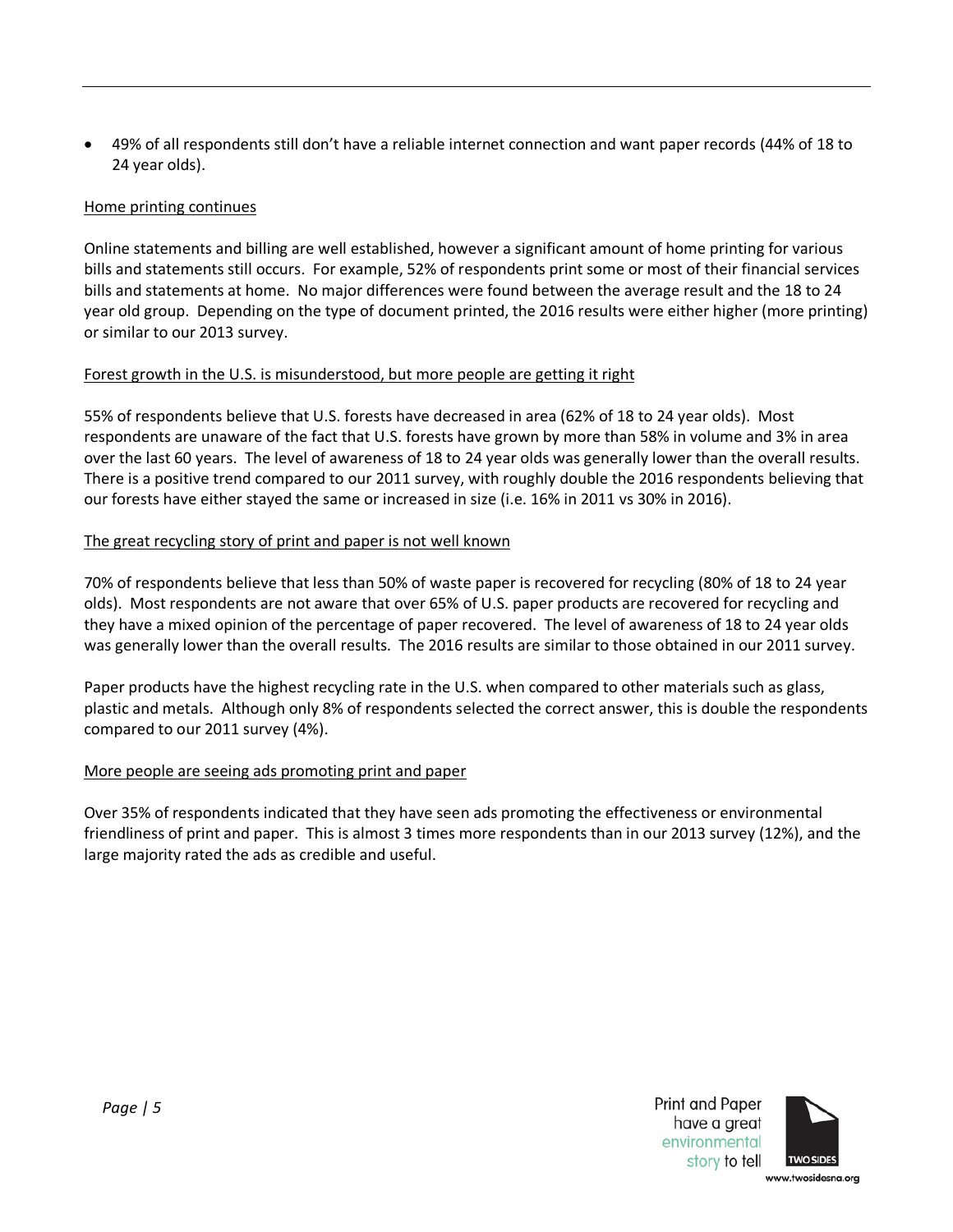• 49% of all respondents still don't have a reliable internet connection and want paper records (44% of 18 to 24 year olds).

# Home printing continues

Online statements and billing are well established, however a significant amount of home printing for various bills and statements still occurs. For example, 52% of respondents print some or most of their financial services bills and statements at home. No major differences were found between the average result and the 18 to 24 year old group. Depending on the type of document printed, the 2016 results were either higher (more printing) or similar to our 2013 survey.

# Forest growth in the U.S. is misunderstood, but more people are getting it right

55% of respondents believe that U.S. forests have decreased in area (62% of 18 to 24 year olds). Most respondents are unaware of the fact that U.S. forests have grown by more than 58% in volume and 3% in area over the last 60 years. The level of awareness of 18 to 24 year olds was generally lower than the overall results. There is a positive trend compared to our 2011 survey, with roughly double the 2016 respondents believing that our forests have either stayed the same or increased in size (i.e. 16% in 2011 vs 30% in 2016).

# The great recycling story of print and paper is not well known

70% of respondents believe that less than 50% of waste paper is recovered for recycling (80% of 18 to 24 year olds). Most respondents are not aware that over 65% of U.S. paper products are recovered for recycling and they have a mixed opinion of the percentage of paper recovered. The level of awareness of 18 to 24 year olds was generally lower than the overall results. The 2016 results are similar to those obtained in our 2011 survey.

Paper products have the highest recycling rate in the U.S. when compared to other materials such as glass, plastic and metals. Although only 8% of respondents selected the correct answer, this is double the respondents compared to our 2011 survey (4%).

# More people are seeing ads promoting print and paper

<span id="page-4-0"></span>Over 35% of respondents indicated that they have seen ads promoting the effectiveness or environmental friendliness of print and paper. This is almost 3 times more respondents than in our 2013 survey (12%), and the large majority rated the ads as credible and useful.



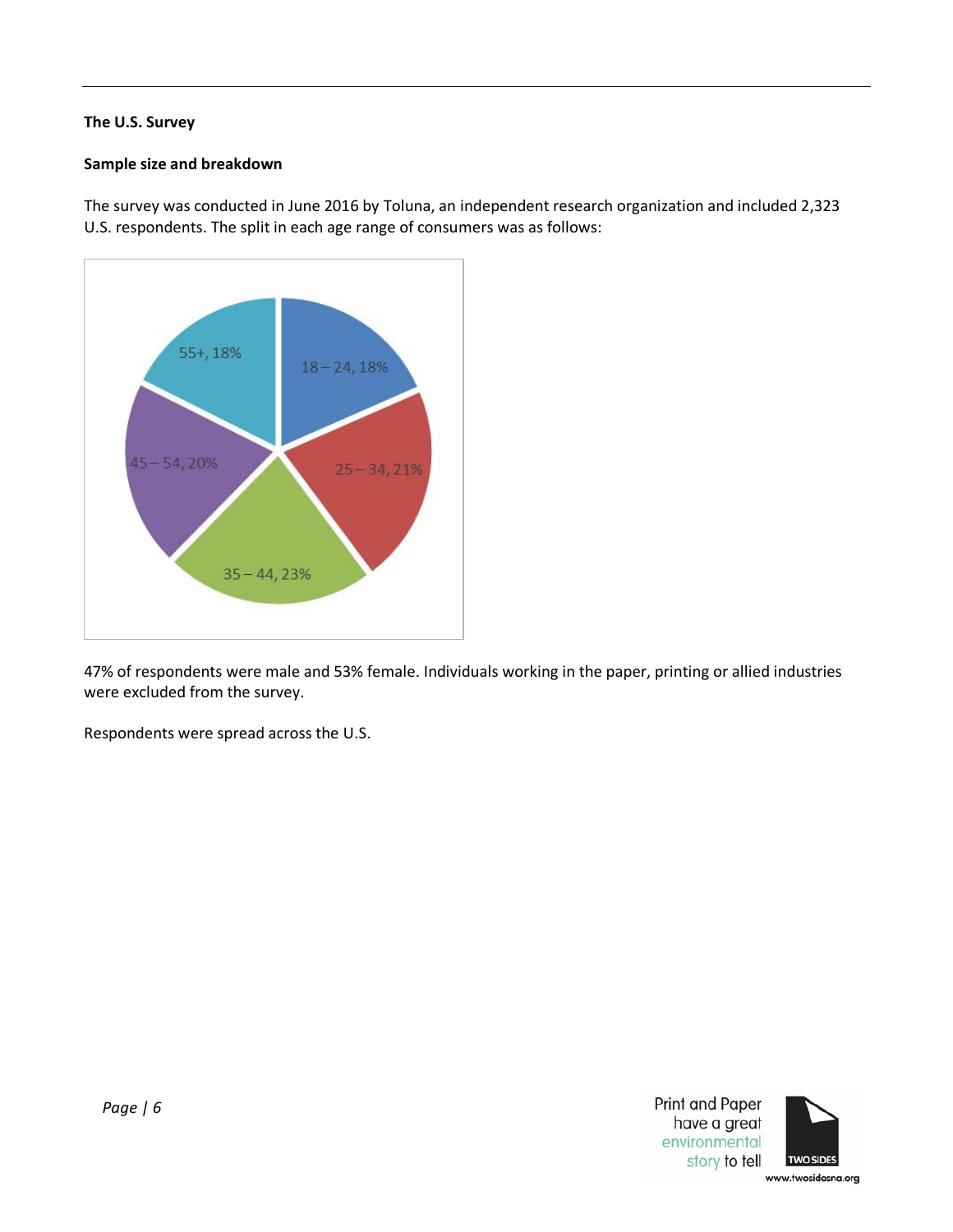# <span id="page-5-0"></span>**The U.S. Survey**

#### **Sample size and breakdown**

The survey was conducted in June 2016 by Toluna, an independent research organization and included 2,323 U.S. respondents. The split in each age range of consumers was as follows:



47% of respondents were male and 53% female. Individuals working in the paper, printing or allied industries were excluded from the survey.

Respondents were spread across the U.S.



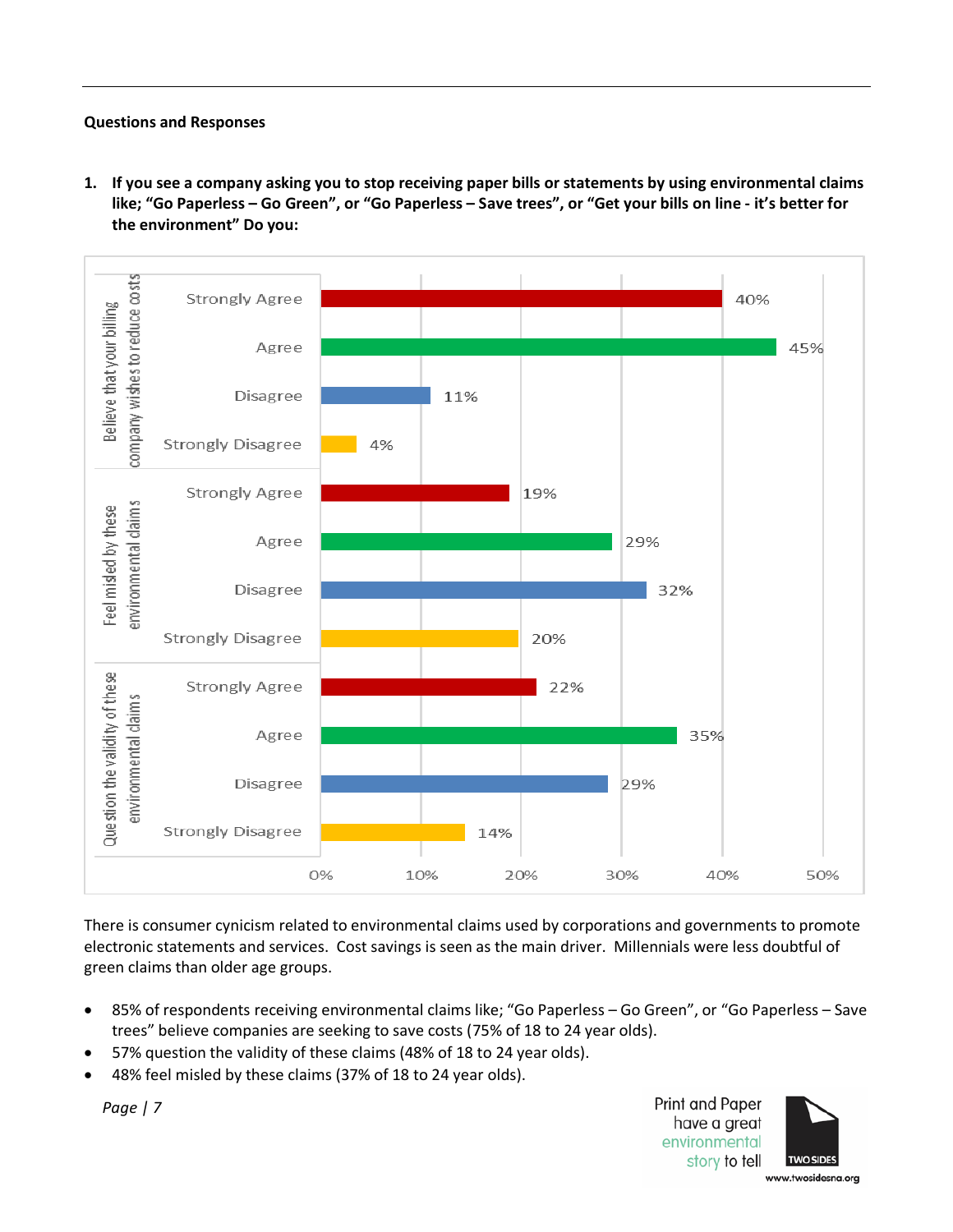#### <span id="page-6-0"></span>**Questions and Responses**

<span id="page-6-1"></span>**1. If you see a company asking you to stop receiving paper bills or statements by using environmental claims like; "Go Paperless – Go Green", or "Go Paperless – Save trees", or "Get your bills on line - it's better for the environment" Do you:** 



There is consumer cynicism related to environmental claims used by corporations and governments to promote electronic statements and services. Cost savings is seen as the main driver. Millennials were less doubtful of green claims than older age groups.

- 85% of respondents receiving environmental claims like; "Go Paperless Go Green", or "Go Paperless Save trees" believe companies are seeking to save costs (75% of 18 to 24 year olds).
- 57% question the validity of these claims (48% of 18 to 24 year olds).
- 48% feel misled by these claims (37% of 18 to 24 year olds).

*Page | 7*

Print and Paper have a great environmental story to tell



www.twosidesna.org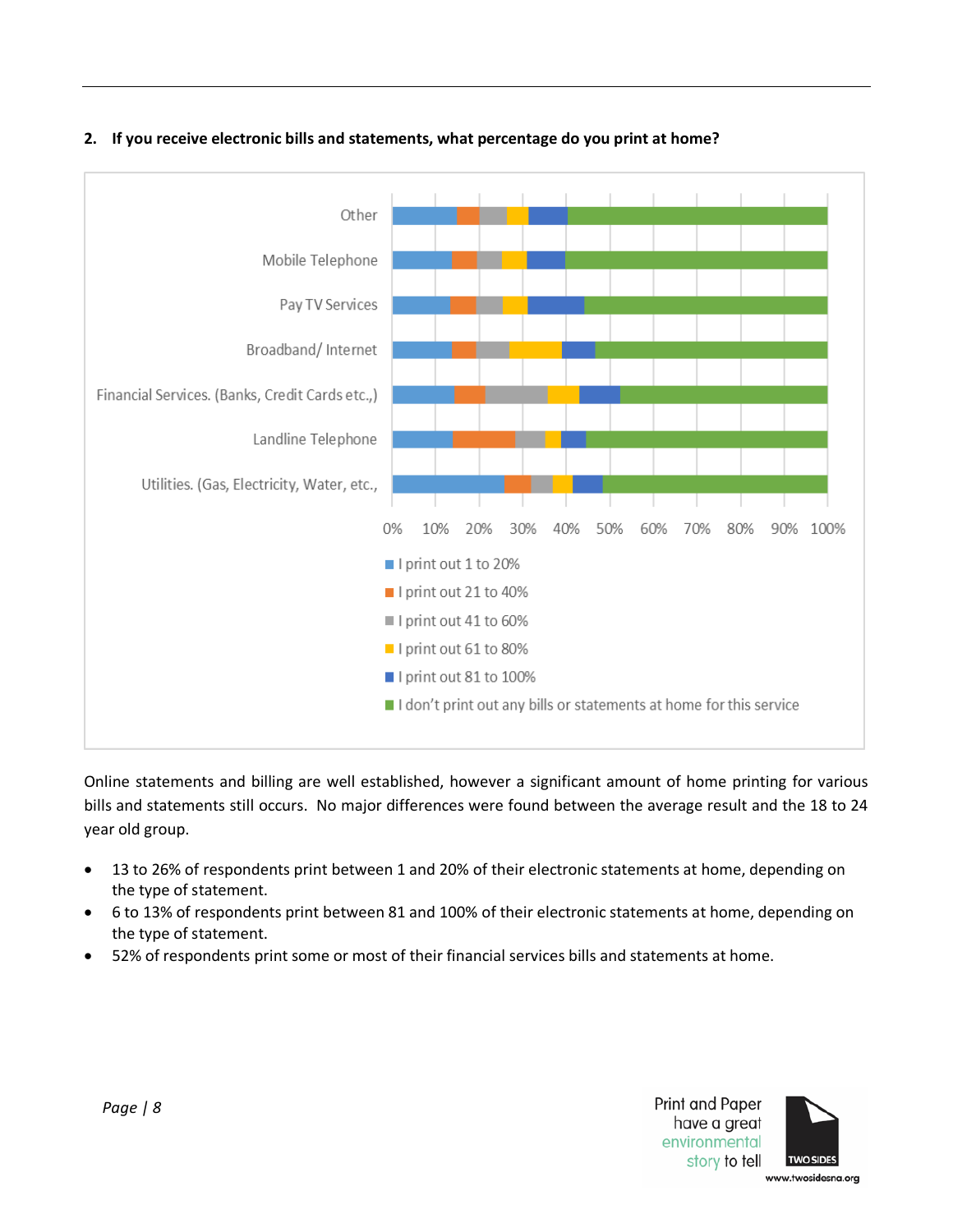

# <span id="page-7-0"></span>**2. If you receive electronic bills and statements, what percentage do you print at home?**

Online statements and billing are well established, however a significant amount of home printing for various bills and statements still occurs. No major differences were found between the average result and the 18 to 24 year old group.

- 13 to 26% of respondents print between 1 and 20% of their electronic statements at home, depending on the type of statement.
- 6 to 13% of respondents print between 81 and 100% of their electronic statements at home, depending on the type of statement.
- 52% of respondents print some or most of their financial services bills and statements at home.



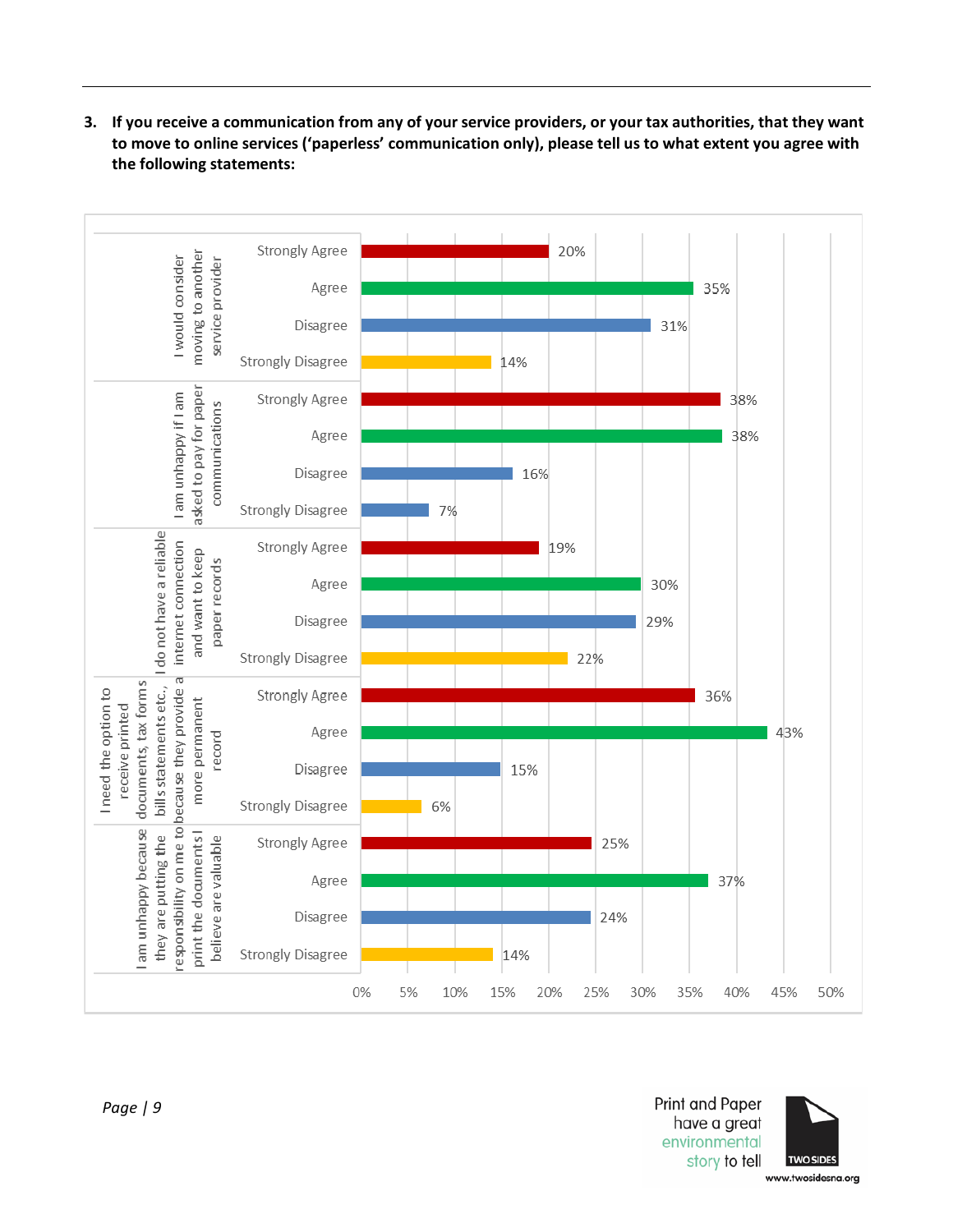<span id="page-8-0"></span>**3. If you receive a communication from any of your service providers, or your tax authorities, that they want to move to online services ('paperless' communication only), please tell us to what extent you agree with the following statements:**



**Print and Paper** have a great environmental story to tell

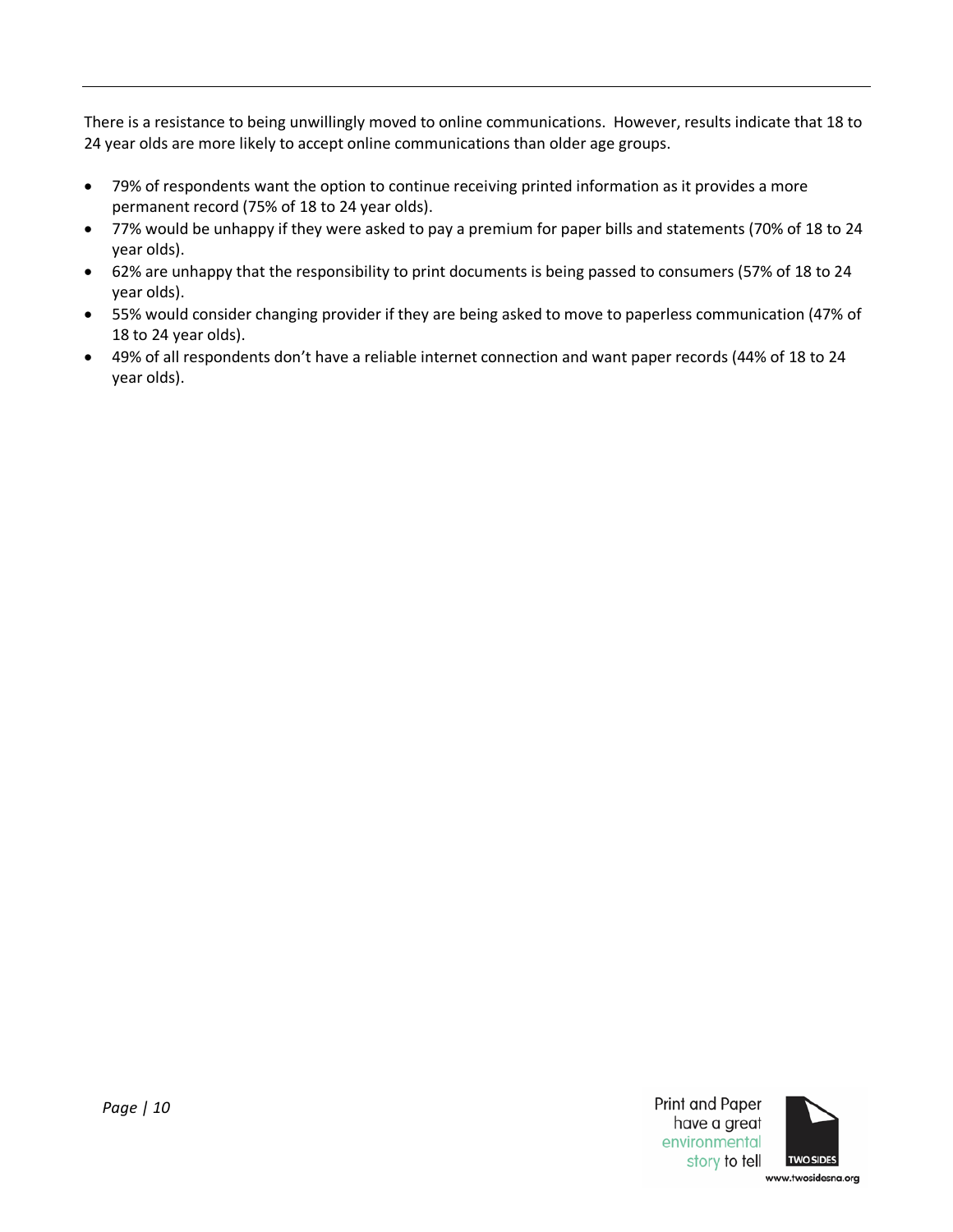There is a resistance to being unwillingly moved to online communications. However, results indicate that 18 to 24 year olds are more likely to accept online communications than older age groups.

- 79% of respondents want the option to continue receiving printed information as it provides a more permanent record (75% of 18 to 24 year olds).
- 77% would be unhappy if they were asked to pay a premium for paper bills and statements (70% of 18 to 24 year olds).
- 62% are unhappy that the responsibility to print documents is being passed to consumers (57% of 18 to 24 year olds).
- 55% would consider changing provider if they are being asked to move to paperless communication (47% of 18 to 24 year olds).
- <span id="page-9-0"></span>• 49% of all respondents don't have a reliable internet connection and want paper records (44% of 18 to 24 year olds).

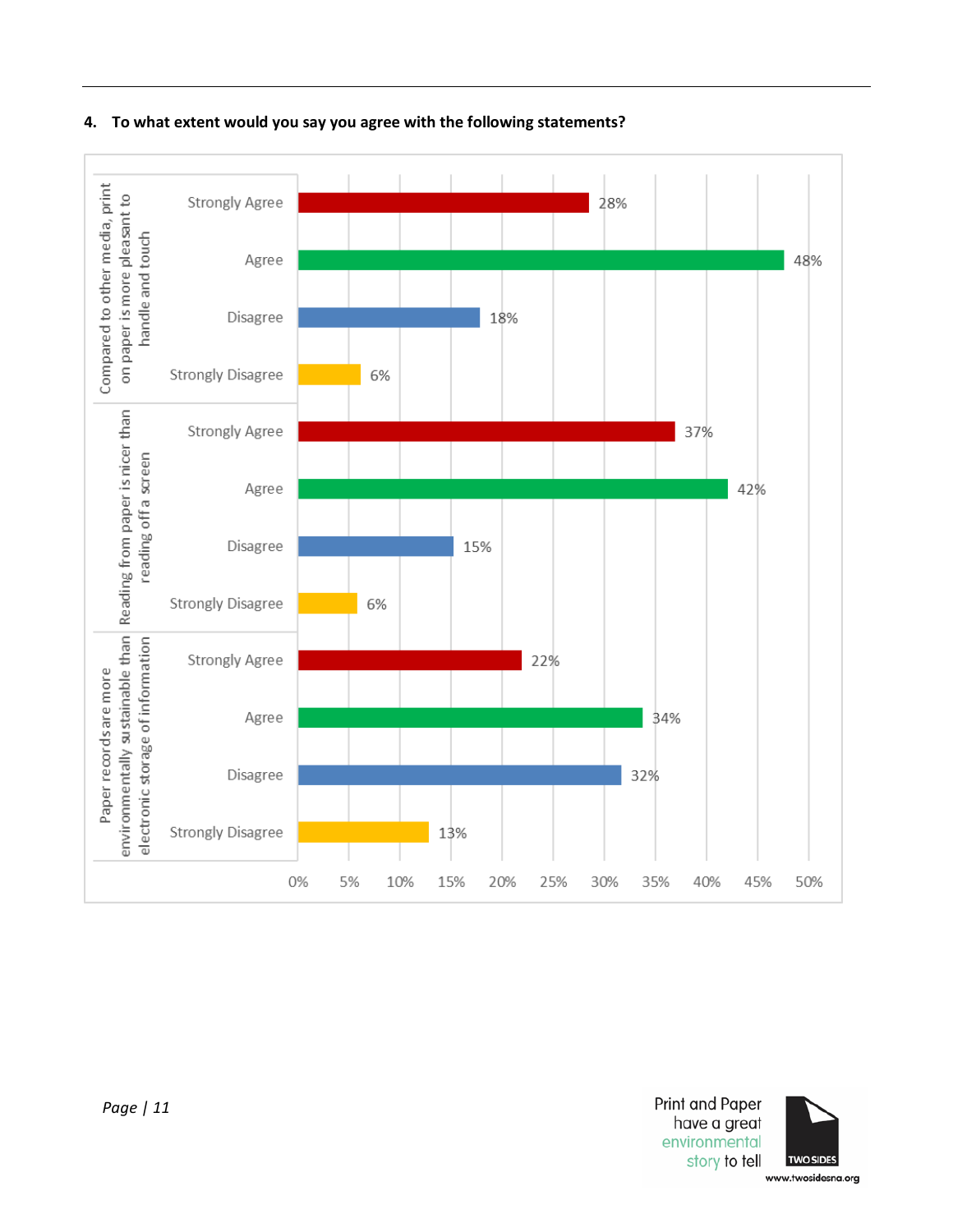

#### **4. To what extent would you say you agree with the following statements?**



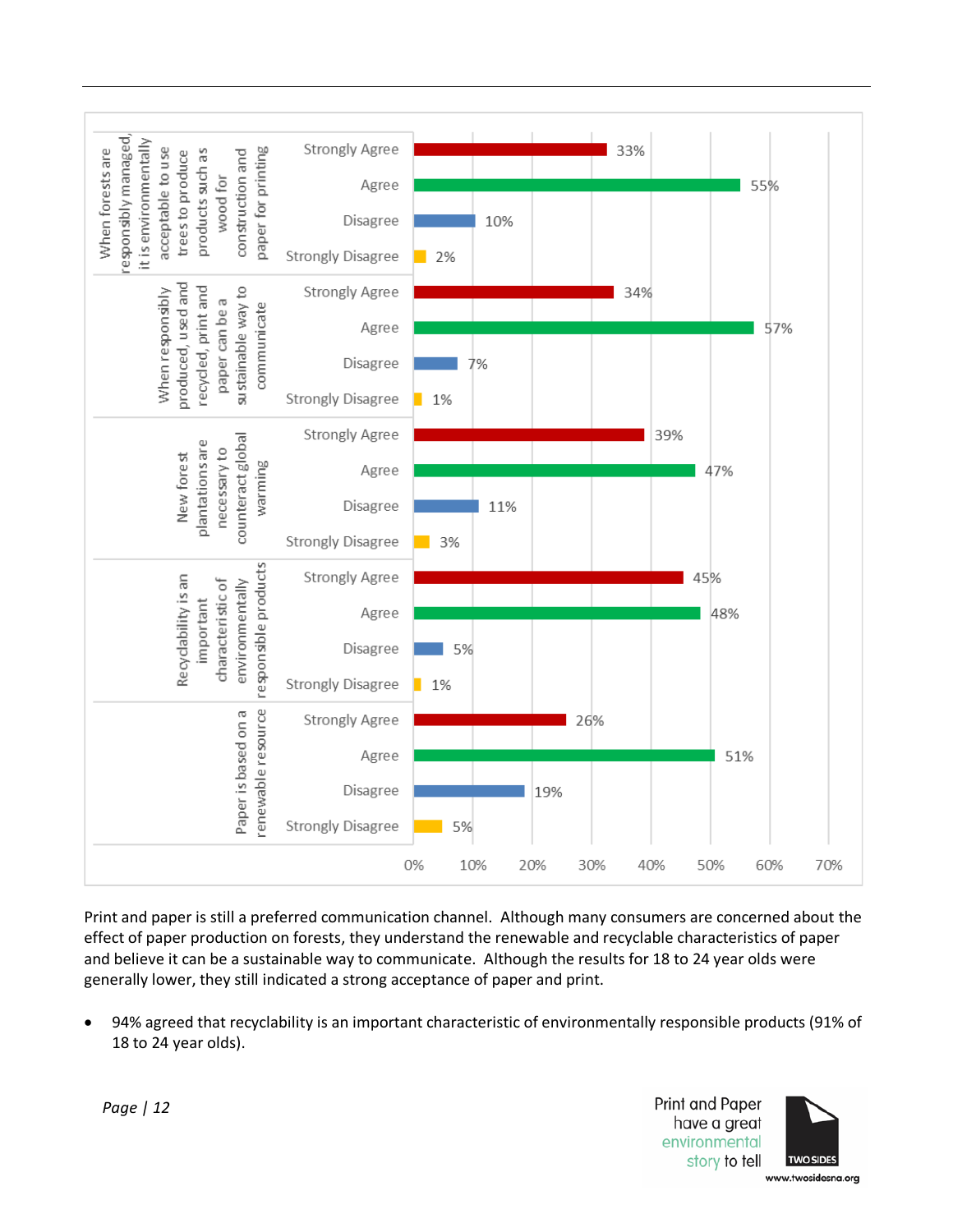

Print and paper is still a preferred communication channel. Although many consumers are concerned about the effect of paper production on forests, they understand the renewable and recyclable characteristics of paper and believe it can be a sustainable way to communicate. Although the results for 18 to 24 year olds were generally lower, they still indicated a strong acceptance of paper and print.

• 94% agreed that recyclability is an important characteristic of environmentally responsible products (91% of 18 to 24 year olds).

> **Print and Paper** have a great environmental story to tell

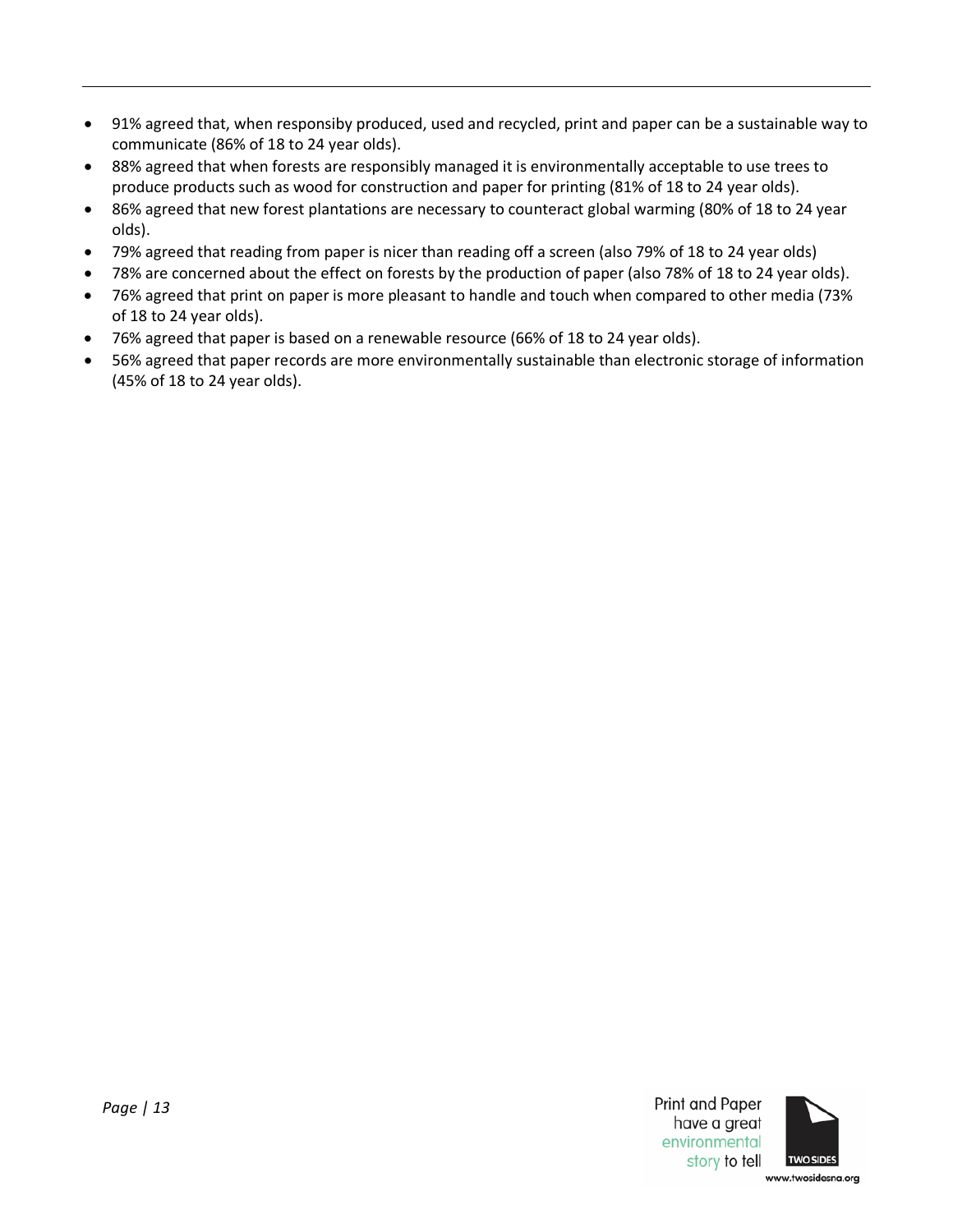- 91% agreed that, when responsiby produced, used and recycled, print and paper can be a sustainable way to communicate (86% of 18 to 24 year olds).
- 88% agreed that when forests are responsibly managed it is environmentally acceptable to use trees to produce products such as wood for construction and paper for printing (81% of 18 to 24 year olds).
- 86% agreed that new forest plantations are necessary to counteract global warming (80% of 18 to 24 year olds).
- 79% agreed that reading from paper is nicer than reading off a screen (also 79% of 18 to 24 year olds)
- 78% are concerned about the effect on forests by the production of paper (also 78% of 18 to 24 year olds).
- 76% agreed that print on paper is more pleasant to handle and touch when compared to other media (73% of 18 to 24 year olds).
- 76% agreed that paper is based on a renewable resource (66% of 18 to 24 year olds).
- 56% agreed that paper records are more environmentally sustainable than electronic storage of information (45% of 18 to 24 year olds).



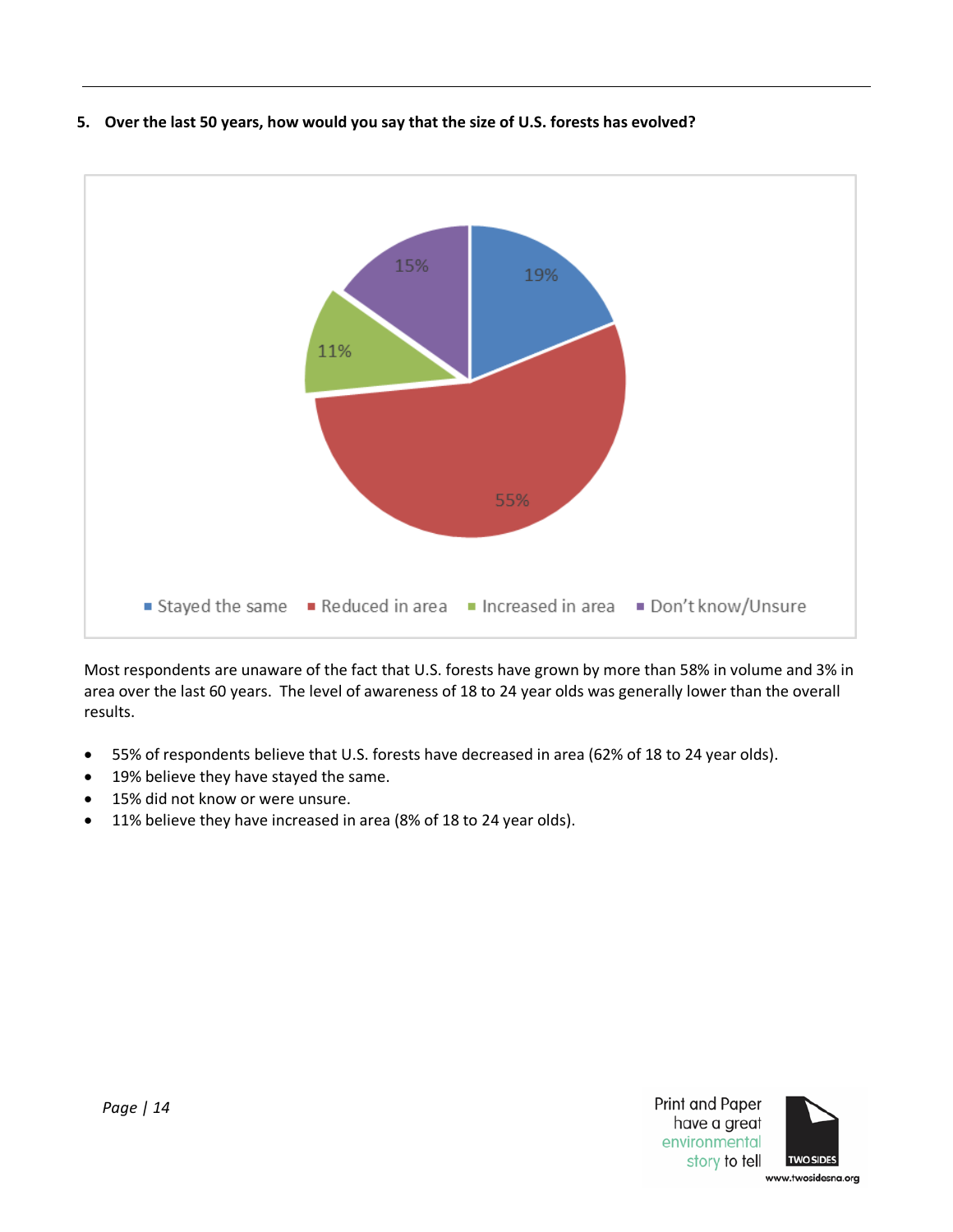<span id="page-13-0"></span>



Most respondents are unaware of the fact that U.S. forests have grown by more than 58% in volume and 3% in area over the last 60 years. The level of awareness of 18 to 24 year olds was generally lower than the overall results.

- 55% of respondents believe that U.S. forests have decreased in area (62% of 18 to 24 year olds).
- 19% believe they have stayed the same.
- 15% did not know or were unsure.
- 11% believe they have increased in area (8% of 18 to 24 year olds).

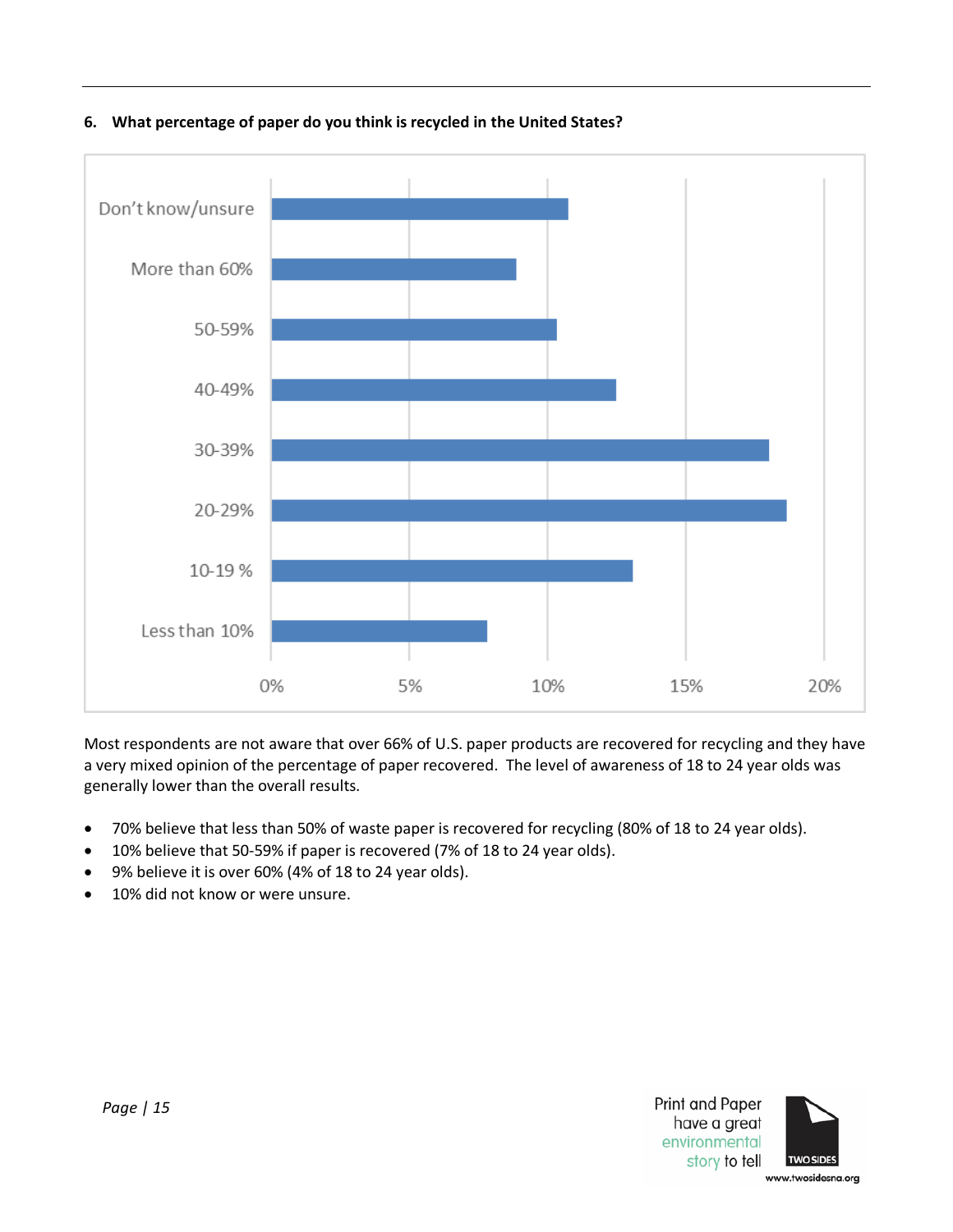

<span id="page-14-0"></span>**6. What percentage of paper do you think is recycled in the United States?** 

Most respondents are not aware that over 66% of U.S. paper products are recovered for recycling and they have a very mixed opinion of the percentage of paper recovered. The level of awareness of 18 to 24 year olds was generally lower than the overall results.

- 70% believe that less than 50% of waste paper is recovered for recycling (80% of 18 to 24 year olds).
- 10% believe that 50-59% if paper is recovered (7% of 18 to 24 year olds).
- 9% believe it is over 60% (4% of 18 to 24 year olds).
- 10% did not know or were unsure.

Print and Paper have a great environmental story to tell

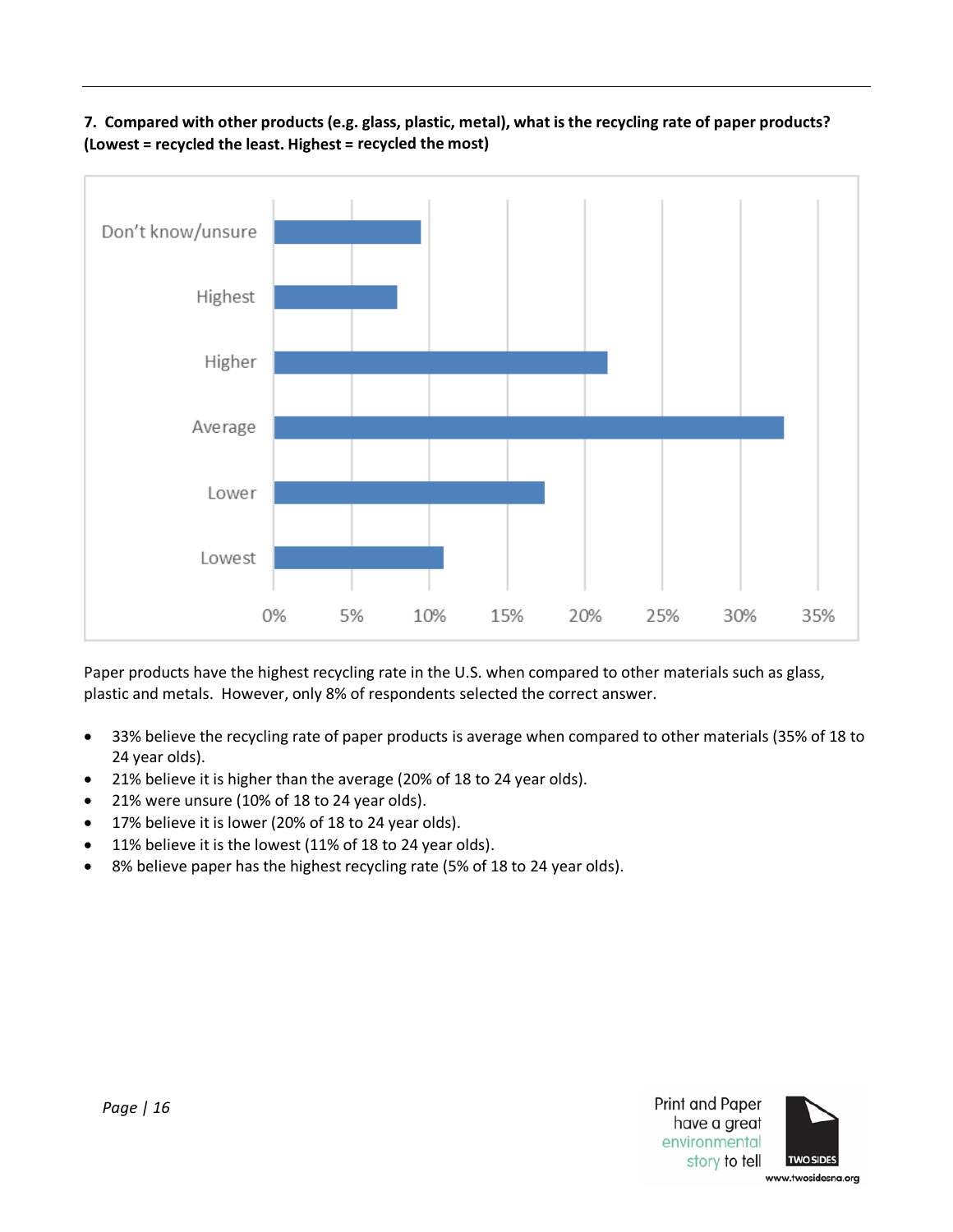<span id="page-15-0"></span>**7. Compared with other products (e.g. glass, plastic, metal), what is the recycling rate of paper products? (Lowest = recycled the least. Highest = recycled the most)**



Paper products have the highest recycling rate in the U.S. when compared to other materials such as glass, plastic and metals. However, only 8% of respondents selected the correct answer.

- 33% believe the recycling rate of paper products is average when compared to other materials (35% of 18 to 24 year olds).
- 21% believe it is higher than the average (20% of 18 to 24 year olds).
- 21% were unsure (10% of 18 to 24 year olds).
- 17% believe it is lower (20% of 18 to 24 year olds).
- 11% believe it is the lowest (11% of 18 to 24 year olds).
- 8% believe paper has the highest recycling rate (5% of 18 to 24 year olds).

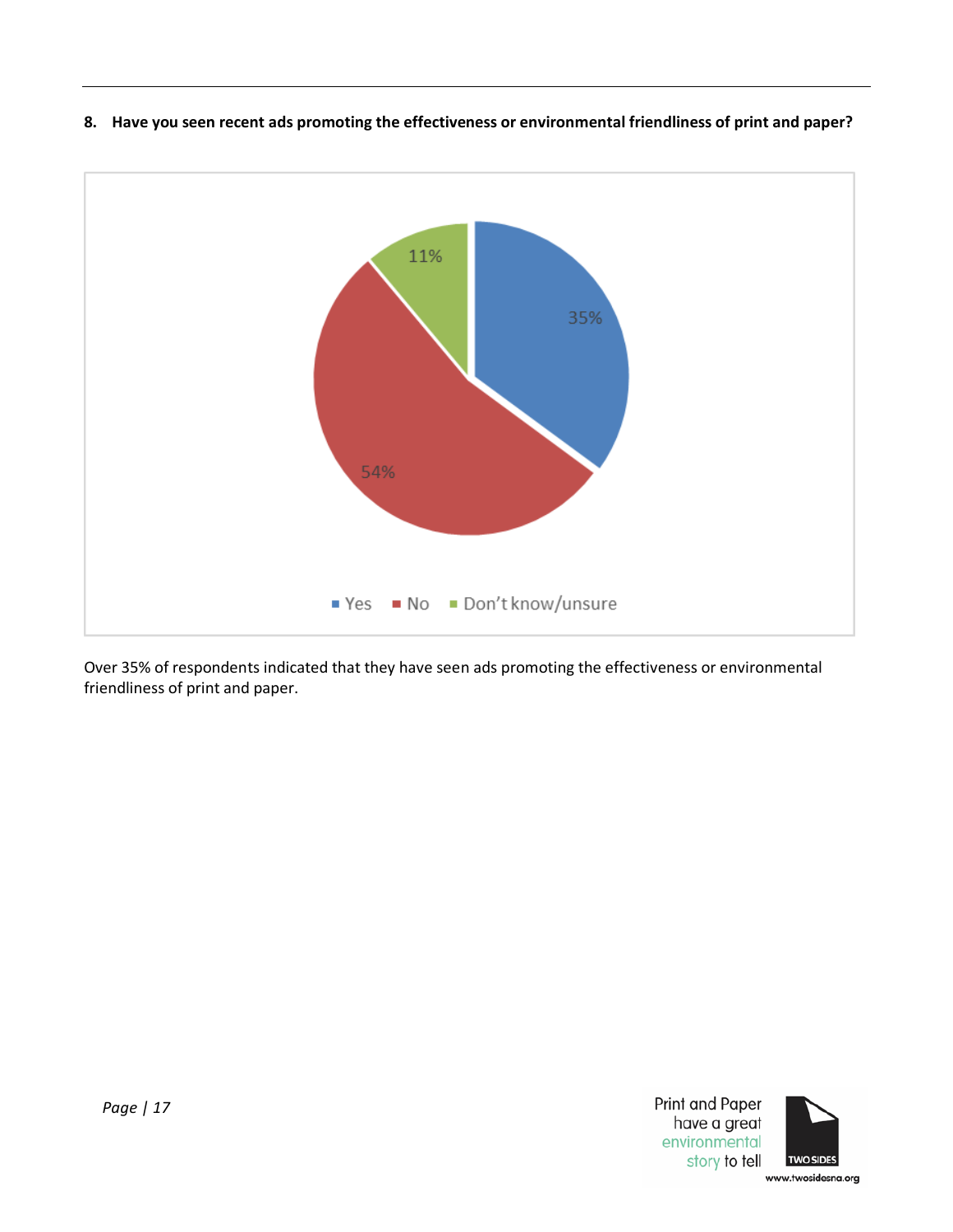

<span id="page-16-0"></span>**8. Have you seen recent ads promoting the effectiveness or environmental friendliness of print and paper?**

<span id="page-16-1"></span>Over 35% of respondents indicated that they have seen ads promoting the effectiveness or environmental friendliness of print and paper.



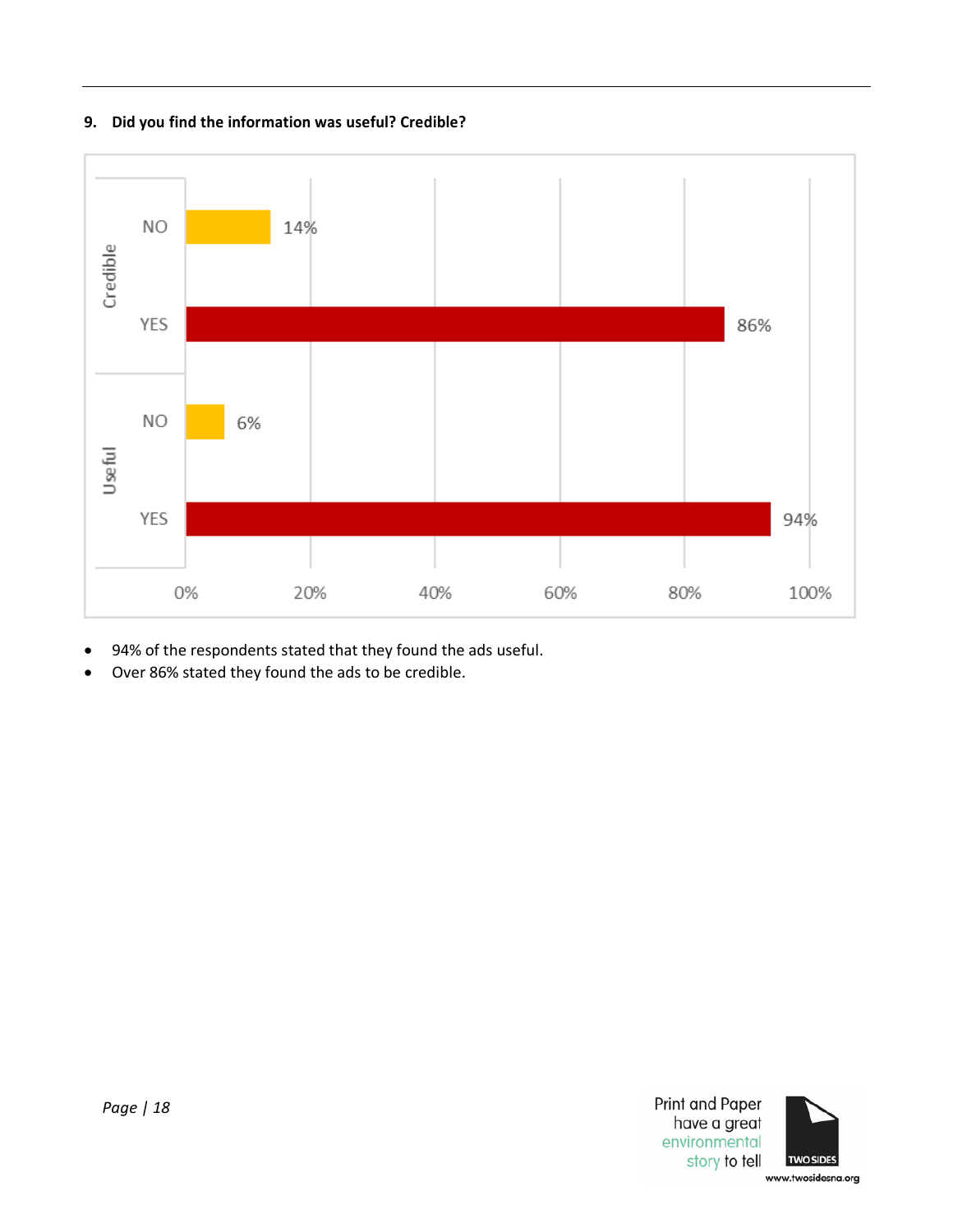# **9. Did you find the information was useful? Credible?**



- 94% of the respondents stated that they found the ads useful.
- Over 86% stated they found the ads to be credible.